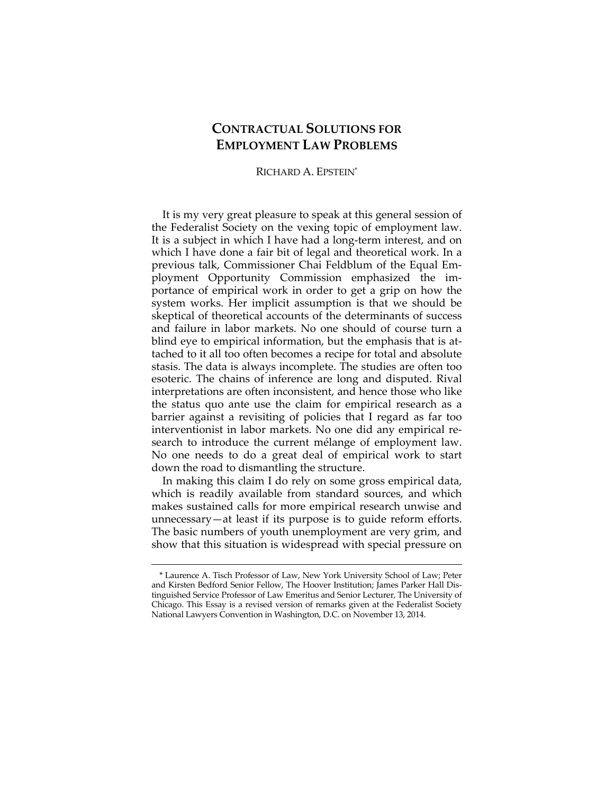## **CONTRACTUAL SOLUTIONS FOR EMPLOYMENT LAW PROBLEMS**

RICHARD A. EPSTEIN\*

It is my very great pleasure to speak at this general session of the Federalist Society on the vexing topic of employment law. It is a subject in which I have had a long-term interest, and on which I have done a fair bit of legal and theoretical work. In a previous talk, Commissioner Chai Feldblum of the Equal Employment Opportunity Commission emphasized the importance of empirical work in order to get a grip on how the system works. Her implicit assumption is that we should be skeptical of theoretical accounts of the determinants of success and failure in labor markets. No one should of course turn a blind eye to empirical information, but the emphasis that is attached to it all too often becomes a recipe for total and absolute stasis. The data is always incomplete. The studies are often too esoteric. The chains of inference are long and disputed. Rival interpretations are often inconsistent, and hence those who like the status quo ante use the claim for empirical research as a barrier against a revisiting of policies that I regard as far too interventionist in labor markets. No one did any empirical research to introduce the current mélange of employment law. No one needs to do a great deal of empirical work to start down the road to dismantling the structure.

In making this claim I do rely on some gross empirical data, which is readily available from standard sources, and which makes sustained calls for more empirical research unwise and unnecessary—at least if its purpose is to guide reform efforts. The basic numbers of youth unemployment are very grim, and show that this situation is widespread with special pressure on

<sup>\*</sup> Laurence A. Tisch Professor of Law, New York University School of Law; Peter and Kirsten Bedford Senior Fellow, The Hoover Institution; James Parker Hall Distinguished Service Professor of Law Emeritus and Senior Lecturer, The University of Chicago. This Essay is a revised version of remarks given at the Federalist Society National Lawyers Convention in Washington, D.C. on November 13, 2014.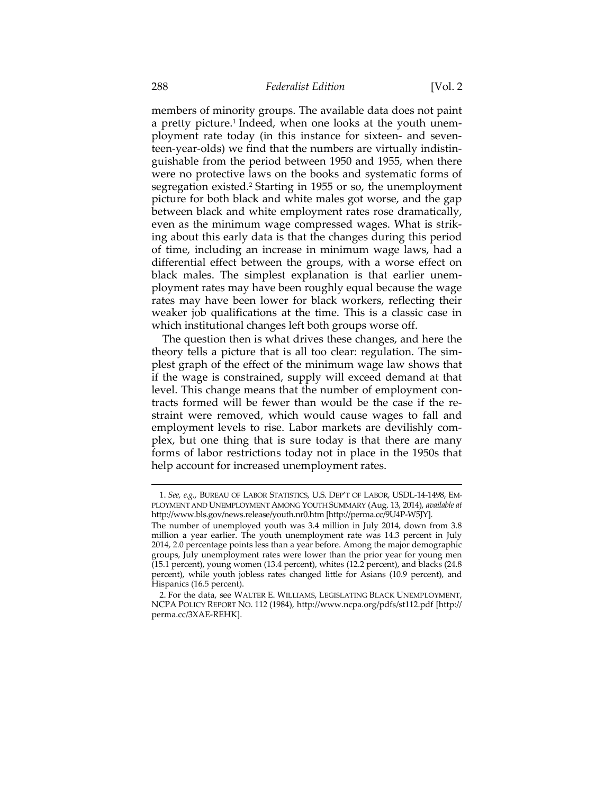members of minority groups. The available data does not paint a pretty picture.<sup>1</sup> Indeed, when one looks at the youth unemployment rate today (in this instance for sixteen- and seventeen-year-olds) we find that the numbers are virtually indistinguishable from the period between 1950 and 1955, when there were no protective laws on the books and systematic forms of segregation existed.<sup>2</sup> Starting in 1955 or so, the unemployment picture for both black and white males got worse, and the gap between black and white employment rates rose dramatically, even as the minimum wage compressed wages. What is striking about this early data is that the changes during this period of time, including an increase in minimum wage laws, had a differential effect between the groups, with a worse effect on black males. The simplest explanation is that earlier unemployment rates may have been roughly equal because the wage rates may have been lower for black workers, reflecting their weaker job qualifications at the time. This is a classic case in which institutional changes left both groups worse off.

The question then is what drives these changes, and here the theory tells a picture that is all too clear: regulation. The simplest graph of the effect of the minimum wage law shows that if the wage is constrained, supply will exceed demand at that level. This change means that the number of employment contracts formed will be fewer than would be the case if the restraint were removed, which would cause wages to fall and employment levels to rise. Labor markets are devilishly complex, but one thing that is sure today is that there are many forms of labor restrictions today not in place in the 1950s that help account for increased unemployment rates.

<u> 1989 - Johann Stein, marwolaethau a bhann an t-Amhain an t-Amhain an t-Amhain an t-Amhain an t-Amhain an t-A</u>

 <sup>1.</sup> *See, e.g.*, BUREAU OF LABOR STATISTICS, U.S. DEP'T OF LABOR, USDL-14-1498, EM-PLOYMENT AND UNEMPLOYMENT AMONG YOUTH SUMMARY (Aug. 13, 2014), *available at*  http://www.bls.gov/news.release/youth.nr0.htm [http://perma.cc/9U4P-W5JY]. The number of unemployed youth was 3.4 million in July 2014, down from 3.8 million a year earlier. The youth unemployment rate was 14.3 percent in July 2014, 2.0 percentage points less than a year before. Among the major demographic groups, July unemployment rates were lower than the prior year for young men (15.1 percent), young women (13.4 percent), whites (12.2 percent), and blacks (24.8 percent), while youth jobless rates changed little for Asians (10.9 percent), and

Hispanics (16.5 percent).

 <sup>2.</sup> For the data, see WALTER E. WILLIAMS, LEGISLATING BLACK UNEMPLOYMENT, NCPA POLICY REPORT NO. 112 (1984), http://www.ncpa.org/pdfs/st112.pdf [http:// perma.cc/3XAE-REHK].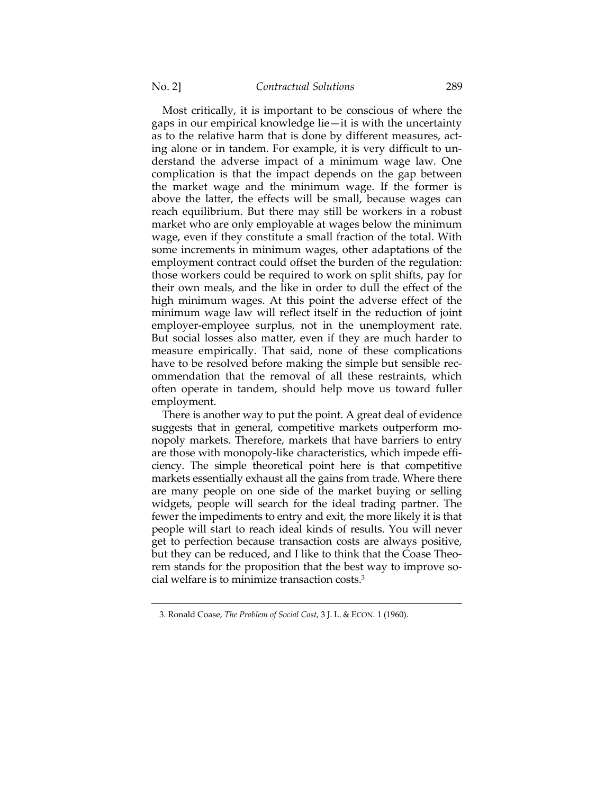Most critically, it is important to be conscious of where the gaps in our empirical knowledge lie—it is with the uncertainty as to the relative harm that is done by different measures, acting alone or in tandem. For example, it is very difficult to understand the adverse impact of a minimum wage law. One complication is that the impact depends on the gap between the market wage and the minimum wage. If the former is above the latter, the effects will be small, because wages can reach equilibrium. But there may still be workers in a robust market who are only employable at wages below the minimum wage, even if they constitute a small fraction of the total. With some increments in minimum wages, other adaptations of the employment contract could offset the burden of the regulation: those workers could be required to work on split shifts, pay for their own meals, and the like in order to dull the effect of the high minimum wages. At this point the adverse effect of the minimum wage law will reflect itself in the reduction of joint employer-employee surplus, not in the unemployment rate. But social losses also matter, even if they are much harder to measure empirically. That said, none of these complications have to be resolved before making the simple but sensible recommendation that the removal of all these restraints, which often operate in tandem, should help move us toward fuller employment.

There is another way to put the point. A great deal of evidence suggests that in general, competitive markets outperform monopoly markets. Therefore, markets that have barriers to entry are those with monopoly-like characteristics, which impede efficiency. The simple theoretical point here is that competitive markets essentially exhaust all the gains from trade. Where there are many people on one side of the market buying or selling widgets, people will search for the ideal trading partner. The fewer the impediments to entry and exit, the more likely it is that people will start to reach ideal kinds of results. You will never get to perfection because transaction costs are always positive, but they can be reduced, and I like to think that the Coase Theorem stands for the proposition that the best way to improve social welfare is to minimize transaction costs.3

 <sup>3.</sup> Ronald Coase, *The Problem of Social Cost*, 3 J. L. & ECON. 1 (1960).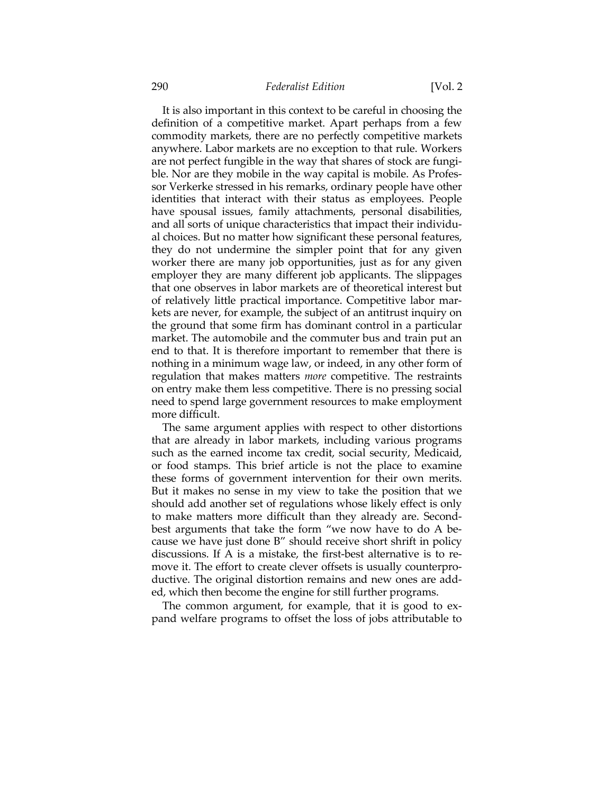## 290 *Federalist Edition* [Vol. 2

It is also important in this context to be careful in choosing the definition of a competitive market. Apart perhaps from a few commodity markets, there are no perfectly competitive markets anywhere. Labor markets are no exception to that rule. Workers are not perfect fungible in the way that shares of stock are fungible. Nor are they mobile in the way capital is mobile. As Professor Verkerke stressed in his remarks, ordinary people have other identities that interact with their status as employees. People have spousal issues, family attachments, personal disabilities, and all sorts of unique characteristics that impact their individual choices. But no matter how significant these personal features, they do not undermine the simpler point that for any given worker there are many job opportunities, just as for any given employer they are many different job applicants. The slippages that one observes in labor markets are of theoretical interest but of relatively little practical importance. Competitive labor markets are never, for example, the subject of an antitrust inquiry on the ground that some firm has dominant control in a particular market. The automobile and the commuter bus and train put an end to that. It is therefore important to remember that there is nothing in a minimum wage law, or indeed, in any other form of regulation that makes matters *more* competitive. The restraints on entry make them less competitive. There is no pressing social need to spend large government resources to make employment more difficult.

The same argument applies with respect to other distortions that are already in labor markets, including various programs such as the earned income tax credit, social security, Medicaid, or food stamps. This brief article is not the place to examine these forms of government intervention for their own merits. But it makes no sense in my view to take the position that we should add another set of regulations whose likely effect is only to make matters more difficult than they already are. Secondbest arguments that take the form "we now have to do A because we have just done B" should receive short shrift in policy discussions. If A is a mistake, the first-best alternative is to remove it. The effort to create clever offsets is usually counterproductive. The original distortion remains and new ones are added, which then become the engine for still further programs.

The common argument, for example, that it is good to expand welfare programs to offset the loss of jobs attributable to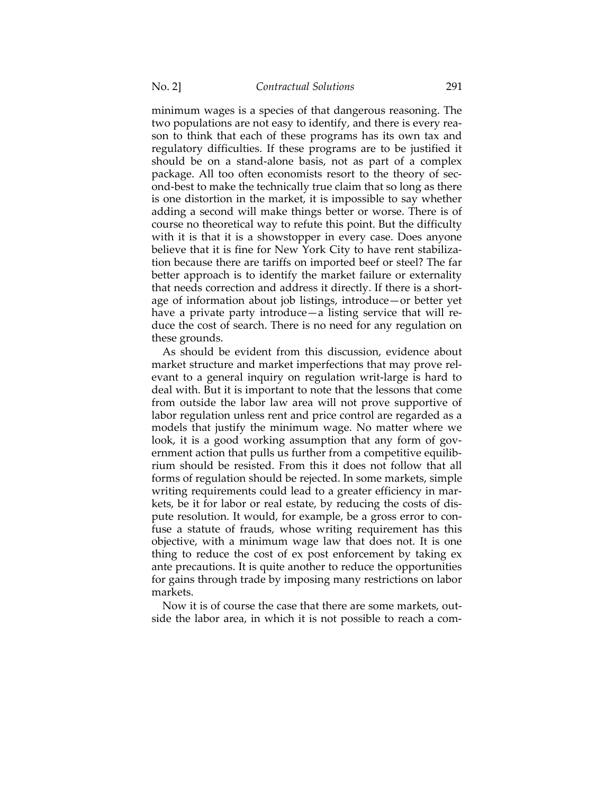minimum wages is a species of that dangerous reasoning. The two populations are not easy to identify, and there is every reason to think that each of these programs has its own tax and regulatory difficulties. If these programs are to be justified it should be on a stand-alone basis, not as part of a complex package. All too often economists resort to the theory of second-best to make the technically true claim that so long as there is one distortion in the market, it is impossible to say whether adding a second will make things better or worse. There is of course no theoretical way to refute this point. But the difficulty with it is that it is a showstopper in every case. Does anyone believe that it is fine for New York City to have rent stabilization because there are tariffs on imported beef or steel? The far better approach is to identify the market failure or externality that needs correction and address it directly. If there is a shortage of information about job listings, introduce—or better yet have a private party introduce—a listing service that will reduce the cost of search. There is no need for any regulation on these grounds.

As should be evident from this discussion, evidence about market structure and market imperfections that may prove relevant to a general inquiry on regulation writ-large is hard to deal with. But it is important to note that the lessons that come from outside the labor law area will not prove supportive of labor regulation unless rent and price control are regarded as a models that justify the minimum wage. No matter where we look, it is a good working assumption that any form of government action that pulls us further from a competitive equilibrium should be resisted. From this it does not follow that all forms of regulation should be rejected. In some markets, simple writing requirements could lead to a greater efficiency in markets, be it for labor or real estate, by reducing the costs of dispute resolution. It would, for example, be a gross error to confuse a statute of frauds, whose writing requirement has this objective, with a minimum wage law that does not. It is one thing to reduce the cost of ex post enforcement by taking ex ante precautions. It is quite another to reduce the opportunities for gains through trade by imposing many restrictions on labor markets.

Now it is of course the case that there are some markets, outside the labor area, in which it is not possible to reach a com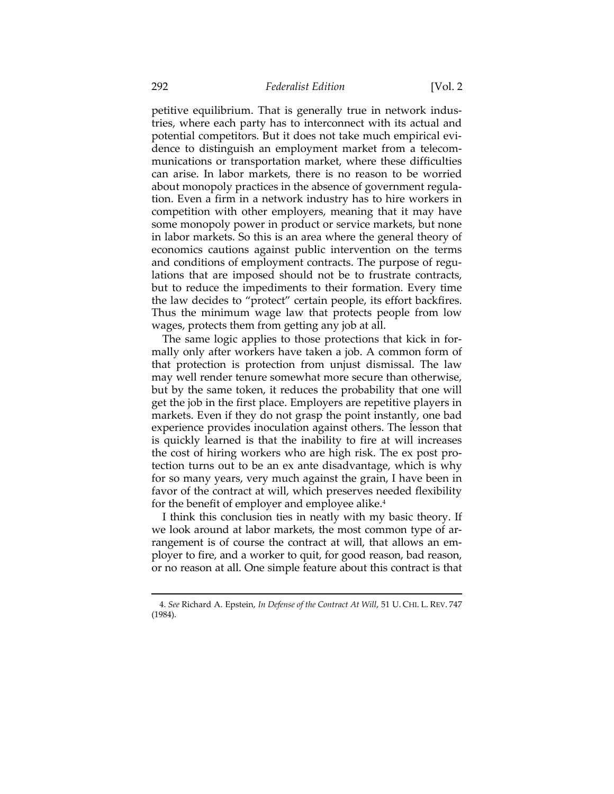petitive equilibrium. That is generally true in network industries, where each party has to interconnect with its actual and potential competitors. But it does not take much empirical evidence to distinguish an employment market from a telecommunications or transportation market, where these difficulties can arise. In labor markets, there is no reason to be worried about monopoly practices in the absence of government regulation. Even a firm in a network industry has to hire workers in competition with other employers, meaning that it may have some monopoly power in product or service markets, but none in labor markets. So this is an area where the general theory of economics cautions against public intervention on the terms and conditions of employment contracts. The purpose of regulations that are imposed should not be to frustrate contracts, but to reduce the impediments to their formation. Every time the law decides to "protect" certain people, its effort backfires. Thus the minimum wage law that protects people from low wages, protects them from getting any job at all.

The same logic applies to those protections that kick in formally only after workers have taken a job. A common form of that protection is protection from unjust dismissal. The law may well render tenure somewhat more secure than otherwise, but by the same token, it reduces the probability that one will get the job in the first place. Employers are repetitive players in markets. Even if they do not grasp the point instantly, one bad experience provides inoculation against others. The lesson that is quickly learned is that the inability to fire at will increases the cost of hiring workers who are high risk. The ex post protection turns out to be an ex ante disadvantage, which is why for so many years, very much against the grain, I have been in favor of the contract at will, which preserves needed flexibility for the benefit of employer and employee alike.<sup>4</sup>

I think this conclusion ties in neatly with my basic theory. If we look around at labor markets, the most common type of arrangement is of course the contract at will, that allows an employer to fire, and a worker to quit, for good reason, bad reason, or no reason at all. One simple feature about this contract is that

<sup>&</sup>lt;u> 1989 - Johann Barn, mars ar breithinn ar chuid ann an t-Alban ann an t-Alban ann an t-Alban ann an t-Alban a</u> 4. *See* Richard A. Epstein, *In Defense of the Contract At Will*, 51 U. CHI. L. REV. 747 (1984).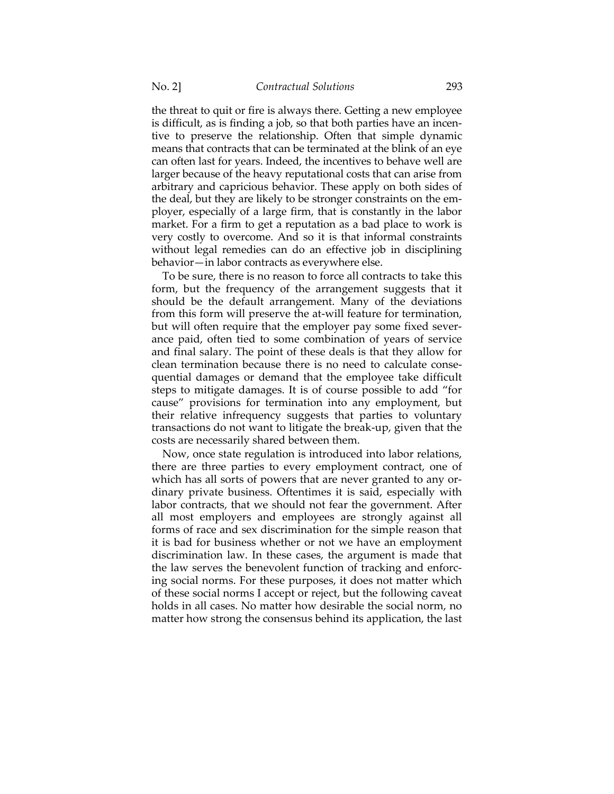the threat to quit or fire is always there. Getting a new employee is difficult, as is finding a job, so that both parties have an incentive to preserve the relationship. Often that simple dynamic means that contracts that can be terminated at the blink of an eye can often last for years. Indeed, the incentives to behave well are larger because of the heavy reputational costs that can arise from arbitrary and capricious behavior. These apply on both sides of the deal, but they are likely to be stronger constraints on the employer, especially of a large firm, that is constantly in the labor market. For a firm to get a reputation as a bad place to work is very costly to overcome. And so it is that informal constraints without legal remedies can do an effective job in disciplining behavior—in labor contracts as everywhere else.

To be sure, there is no reason to force all contracts to take this form, but the frequency of the arrangement suggests that it should be the default arrangement. Many of the deviations from this form will preserve the at-will feature for termination, but will often require that the employer pay some fixed severance paid, often tied to some combination of years of service and final salary. The point of these deals is that they allow for clean termination because there is no need to calculate consequential damages or demand that the employee take difficult steps to mitigate damages. It is of course possible to add "for cause" provisions for termination into any employment, but their relative infrequency suggests that parties to voluntary transactions do not want to litigate the break-up, given that the costs are necessarily shared between them.

Now, once state regulation is introduced into labor relations, there are three parties to every employment contract, one of which has all sorts of powers that are never granted to any ordinary private business. Oftentimes it is said, especially with labor contracts, that we should not fear the government. After all most employers and employees are strongly against all forms of race and sex discrimination for the simple reason that it is bad for business whether or not we have an employment discrimination law. In these cases, the argument is made that the law serves the benevolent function of tracking and enforcing social norms. For these purposes, it does not matter which of these social norms I accept or reject, but the following caveat holds in all cases. No matter how desirable the social norm, no matter how strong the consensus behind its application, the last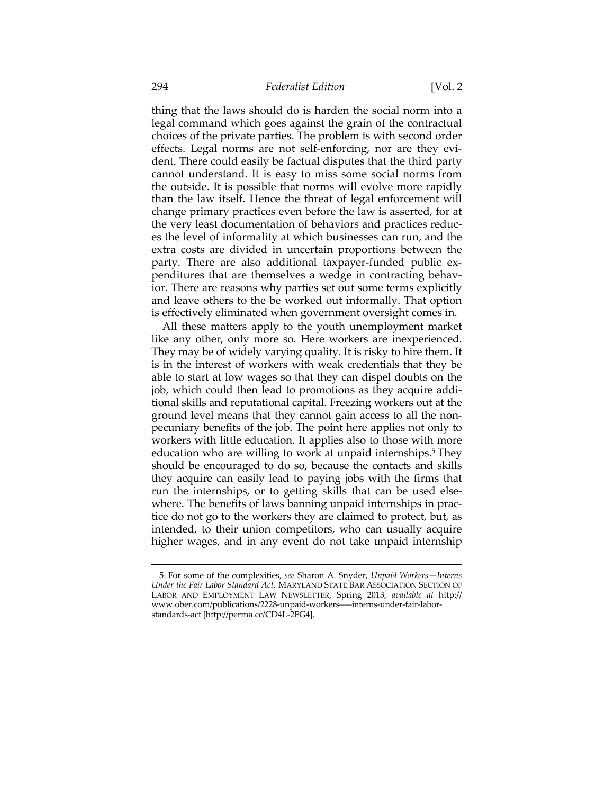thing that the laws should do is harden the social norm into a legal command which goes against the grain of the contractual choices of the private parties. The problem is with second order effects. Legal norms are not self-enforcing, nor are they evident. There could easily be factual disputes that the third party cannot understand. It is easy to miss some social norms from the outside. It is possible that norms will evolve more rapidly than the law itself. Hence the threat of legal enforcement will change primary practices even before the law is asserted, for at the very least documentation of behaviors and practices reduces the level of informality at which businesses can run, and the extra costs are divided in uncertain proportions between the party. There are also additional taxpayer-funded public expenditures that are themselves a wedge in contracting behavior. There are reasons why parties set out some terms explicitly and leave others to the be worked out informally. That option is effectively eliminated when government oversight comes in.

All these matters apply to the youth unemployment market like any other, only more so. Here workers are inexperienced. They may be of widely varying quality. It is risky to hire them. It is in the interest of workers with weak credentials that they be able to start at low wages so that they can dispel doubts on the job, which could then lead to promotions as they acquire additional skills and reputational capital. Freezing workers out at the ground level means that they cannot gain access to all the nonpecuniary benefits of the job. The point here applies not only to workers with little education. It applies also to those with more education who are willing to work at unpaid internships.<sup>5</sup> They should be encouraged to do so, because the contacts and skills they acquire can easily lead to paying jobs with the firms that run the internships, or to getting skills that can be used elsewhere. The benefits of laws banning unpaid internships in practice do not go to the workers they are claimed to protect, but, as intended, to their union competitors, who can usually acquire higher wages, and in any event do not take unpaid internship

 <sup>5.</sup> For some of the complexities, *see* Sharon A. Snyder, *Unpaid Workers—Interns Under the Fair Labor Standard Act*, MARYLAND STATE BAR ASSOCIATION SECTION OF LABOR AND EMPLOYMENT LAW NEWSLETTER, Spring 2013, *available at* http:// www.ober.com/publications/2228-unpaid-workers–––interns-under-fair-laborstandards-act [http://perma.cc/CD4L-2FG4].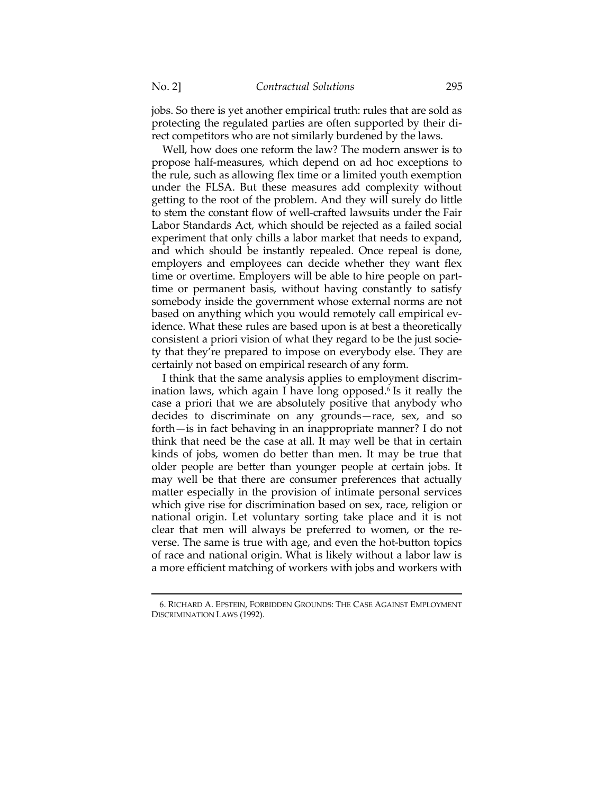jobs. So there is yet another empirical truth: rules that are sold as protecting the regulated parties are often supported by their direct competitors who are not similarly burdened by the laws.

Well, how does one reform the law? The modern answer is to propose half-measures, which depend on ad hoc exceptions to the rule, such as allowing flex time or a limited youth exemption under the FLSA. But these measures add complexity without getting to the root of the problem. And they will surely do little to stem the constant flow of well-crafted lawsuits under the Fair Labor Standards Act, which should be rejected as a failed social experiment that only chills a labor market that needs to expand, and which should be instantly repealed. Once repeal is done, employers and employees can decide whether they want flex time or overtime. Employers will be able to hire people on parttime or permanent basis, without having constantly to satisfy somebody inside the government whose external norms are not based on anything which you would remotely call empirical evidence. What these rules are based upon is at best a theoretically consistent a priori vision of what they regard to be the just society that they're prepared to impose on everybody else. They are certainly not based on empirical research of any form.

I think that the same analysis applies to employment discrimination laws, which again I have long opposed.<sup>6</sup> Is it really the case a priori that we are absolutely positive that anybody who decides to discriminate on any grounds—race, sex, and so forth—is in fact behaving in an inappropriate manner? I do not think that need be the case at all. It may well be that in certain kinds of jobs, women do better than men. It may be true that older people are better than younger people at certain jobs. It may well be that there are consumer preferences that actually matter especially in the provision of intimate personal services which give rise for discrimination based on sex, race, religion or national origin. Let voluntary sorting take place and it is not clear that men will always be preferred to women, or the reverse. The same is true with age, and even the hot-button topics of race and national origin. What is likely without a labor law is a more efficient matching of workers with jobs and workers with

<sup>&</sup>lt;u> 1989 - Johann Barn, mars ar breithinn ar chuid ann an t-Alban ann an t-Alban ann an t-Alban ann an t-Alban a</u> 6. RICHARD A. EPSTEIN, FORBIDDEN GROUNDS: THE CASE AGAINST EMPLOYMENT DISCRIMINATION LAWS (1992).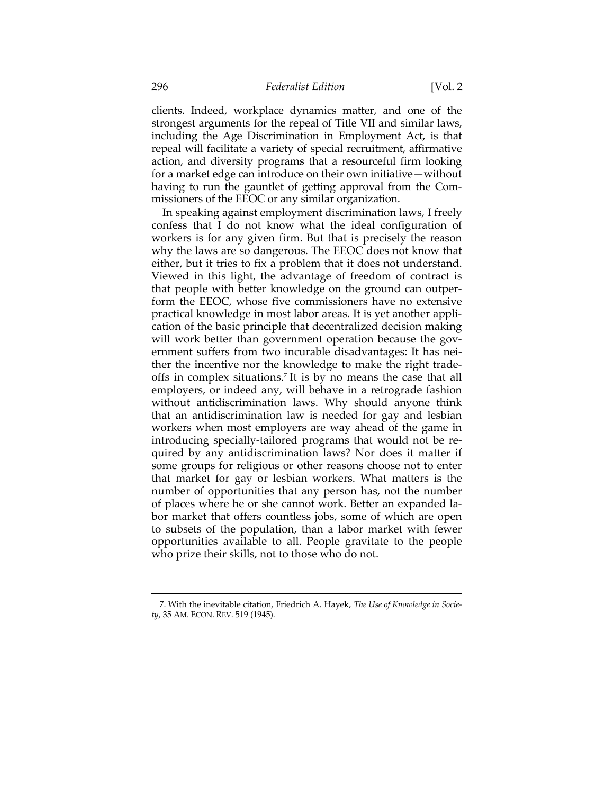clients. Indeed, workplace dynamics matter, and one of the strongest arguments for the repeal of Title VII and similar laws, including the Age Discrimination in Employment Act, is that repeal will facilitate a variety of special recruitment, affirmative action, and diversity programs that a resourceful firm looking for a market edge can introduce on their own initiative—without having to run the gauntlet of getting approval from the Commissioners of the EEOC or any similar organization.

In speaking against employment discrimination laws, I freely confess that I do not know what the ideal configuration of workers is for any given firm. But that is precisely the reason why the laws are so dangerous. The EEOC does not know that either, but it tries to fix a problem that it does not understand. Viewed in this light, the advantage of freedom of contract is that people with better knowledge on the ground can outperform the EEOC, whose five commissioners have no extensive practical knowledge in most labor areas. It is yet another application of the basic principle that decentralized decision making will work better than government operation because the government suffers from two incurable disadvantages: It has neither the incentive nor the knowledge to make the right tradeoffs in complex situations.7 It is by no means the case that all employers, or indeed any, will behave in a retrograde fashion without antidiscrimination laws. Why should anyone think that an antidiscrimination law is needed for gay and lesbian workers when most employers are way ahead of the game in introducing specially-tailored programs that would not be required by any antidiscrimination laws? Nor does it matter if some groups for religious or other reasons choose not to enter that market for gay or lesbian workers. What matters is the number of opportunities that any person has, not the number of places where he or she cannot work. Better an expanded labor market that offers countless jobs, some of which are open to subsets of the population, than a labor market with fewer opportunities available to all. People gravitate to the people who prize their skills, not to those who do not.

<sup>&</sup>lt;u> 1989 - Johann Barn, mars ar breithinn ar chuid ann an t-Alban ann an t-Alban ann an t-Alban ann an t-Alban a</u> 7. With the inevitable citation, Friedrich A. Hayek, *The Use of Knowledge in Society*, 35 AM. ECON. REV. 519 (1945).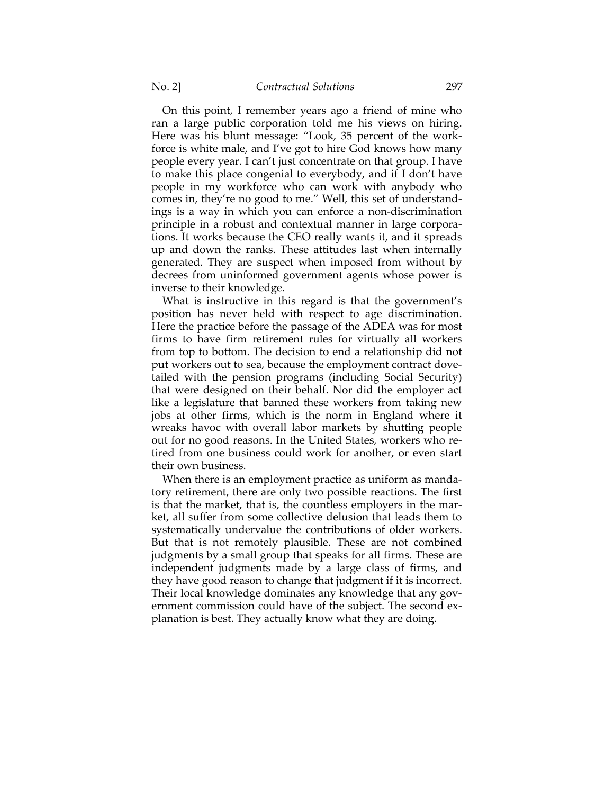On this point, I remember years ago a friend of mine who ran a large public corporation told me his views on hiring. Here was his blunt message: "Look, 35 percent of the workforce is white male, and I've got to hire God knows how many people every year. I can't just concentrate on that group. I have to make this place congenial to everybody, and if I don't have people in my workforce who can work with anybody who comes in, they're no good to me." Well, this set of understandings is a way in which you can enforce a non-discrimination principle in a robust and contextual manner in large corporations. It works because the CEO really wants it, and it spreads up and down the ranks. These attitudes last when internally generated. They are suspect when imposed from without by decrees from uninformed government agents whose power is inverse to their knowledge.

What is instructive in this regard is that the government's position has never held with respect to age discrimination. Here the practice before the passage of the ADEA was for most firms to have firm retirement rules for virtually all workers from top to bottom. The decision to end a relationship did not put workers out to sea, because the employment contract dovetailed with the pension programs (including Social Security) that were designed on their behalf. Nor did the employer act like a legislature that banned these workers from taking new jobs at other firms, which is the norm in England where it wreaks havoc with overall labor markets by shutting people out for no good reasons. In the United States, workers who retired from one business could work for another, or even start their own business.

When there is an employment practice as uniform as mandatory retirement, there are only two possible reactions. The first is that the market, that is, the countless employers in the market, all suffer from some collective delusion that leads them to systematically undervalue the contributions of older workers. But that is not remotely plausible. These are not combined judgments by a small group that speaks for all firms. These are independent judgments made by a large class of firms, and they have good reason to change that judgment if it is incorrect. Their local knowledge dominates any knowledge that any government commission could have of the subject. The second explanation is best. They actually know what they are doing.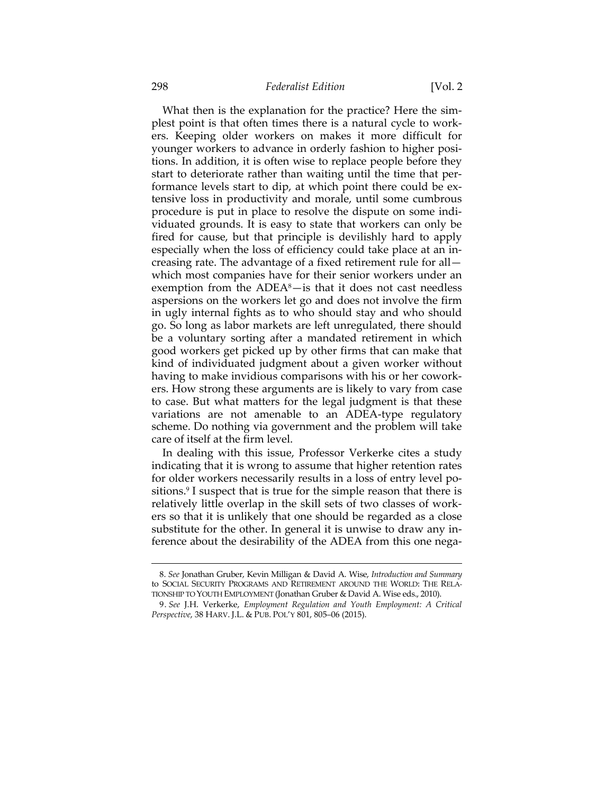## 298 *Federalist Edition* [Vol. 2

What then is the explanation for the practice? Here the simplest point is that often times there is a natural cycle to workers. Keeping older workers on makes it more difficult for younger workers to advance in orderly fashion to higher positions. In addition, it is often wise to replace people before they start to deteriorate rather than waiting until the time that performance levels start to dip, at which point there could be extensive loss in productivity and morale, until some cumbrous procedure is put in place to resolve the dispute on some individuated grounds. It is easy to state that workers can only be fired for cause, but that principle is devilishly hard to apply especially when the loss of efficiency could take place at an increasing rate. The advantage of a fixed retirement rule for all which most companies have for their senior workers under an exemption from the  $ADEA<sup>8</sup>$ -is that it does not cast needless aspersions on the workers let go and does not involve the firm in ugly internal fights as to who should stay and who should go. So long as labor markets are left unregulated, there should be a voluntary sorting after a mandated retirement in which good workers get picked up by other firms that can make that kind of individuated judgment about a given worker without having to make invidious comparisons with his or her coworkers. How strong these arguments are is likely to vary from case to case. But what matters for the legal judgment is that these variations are not amenable to an ADEA-type regulatory scheme. Do nothing via government and the problem will take care of itself at the firm level.

In dealing with this issue, Professor Verkerke cites a study indicating that it is wrong to assume that higher retention rates for older workers necessarily results in a loss of entry level positions.<sup>9</sup> I suspect that is true for the simple reason that there is relatively little overlap in the skill sets of two classes of workers so that it is unlikely that one should be regarded as a close substitute for the other. In general it is unwise to draw any inference about the desirability of the ADEA from this one nega-

 <sup>8.</sup> *See* Jonathan Gruber, Kevin Milligan & David A. Wise, *Introduction and Summary* to SOCIAL SECURITY PROGRAMS AND RETIREMENT AROUND THE WORLD: THE RELA-TIONSHIP TO YOUTH EMPLOYMENT (Jonathan Gruber & David A. Wise eds., 2010).

 <sup>9.</sup> *See* J.H. Verkerke, *Employment Regulation and Youth Employment: A Critical Perspective*, 38 HARV. J.L. & PUB. POL'Y 801, 805–06 (2015).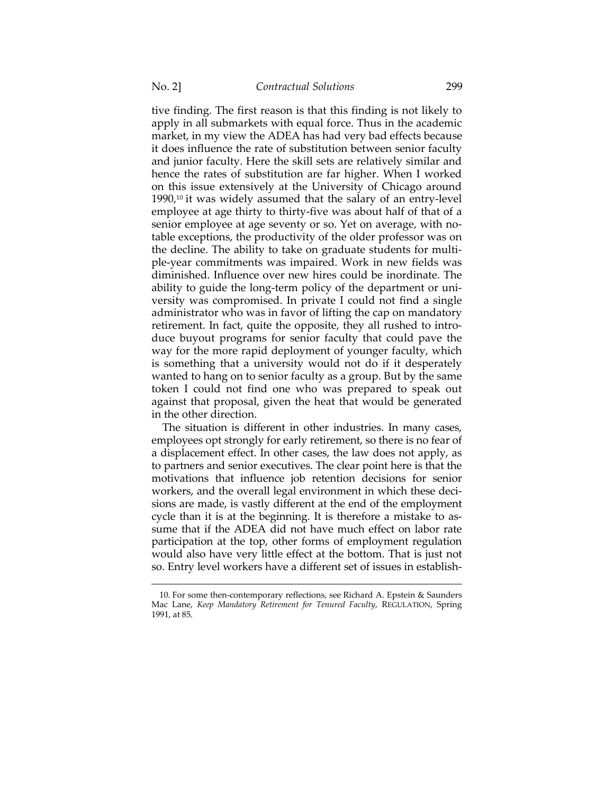tive finding. The first reason is that this finding is not likely to apply in all submarkets with equal force. Thus in the academic market, in my view the ADEA has had very bad effects because it does influence the rate of substitution between senior faculty and junior faculty. Here the skill sets are relatively similar and hence the rates of substitution are far higher. When I worked on this issue extensively at the University of Chicago around  $1990<sub>i</sub>$ <sup>10</sup> it was widely assumed that the salary of an entry-level employee at age thirty to thirty-five was about half of that of a senior employee at age seventy or so. Yet on average, with notable exceptions, the productivity of the older professor was on the decline. The ability to take on graduate students for multiple-year commitments was impaired. Work in new fields was diminished. Influence over new hires could be inordinate. The ability to guide the long-term policy of the department or university was compromised. In private I could not find a single administrator who was in favor of lifting the cap on mandatory retirement. In fact, quite the opposite, they all rushed to introduce buyout programs for senior faculty that could pave the way for the more rapid deployment of younger faculty, which is something that a university would not do if it desperately wanted to hang on to senior faculty as a group. But by the same token I could not find one who was prepared to speak out against that proposal, given the heat that would be generated in the other direction.

The situation is different in other industries. In many cases, employees opt strongly for early retirement, so there is no fear of a displacement effect. In other cases, the law does not apply, as to partners and senior executives. The clear point here is that the motivations that influence job retention decisions for senior workers, and the overall legal environment in which these decisions are made, is vastly different at the end of the employment cycle than it is at the beginning. It is therefore a mistake to assume that if the ADEA did not have much effect on labor rate participation at the top, other forms of employment regulation would also have very little effect at the bottom. That is just not so. Entry level workers have a different set of issues in establish-

 <sup>10.</sup> For some then-contemporary reflections, see Richard A. Epstein & Saunders Mac Lane, *Keep Mandatory Retirement for Tenured Faculty*, REGULATION, Spring 1991, at 85.